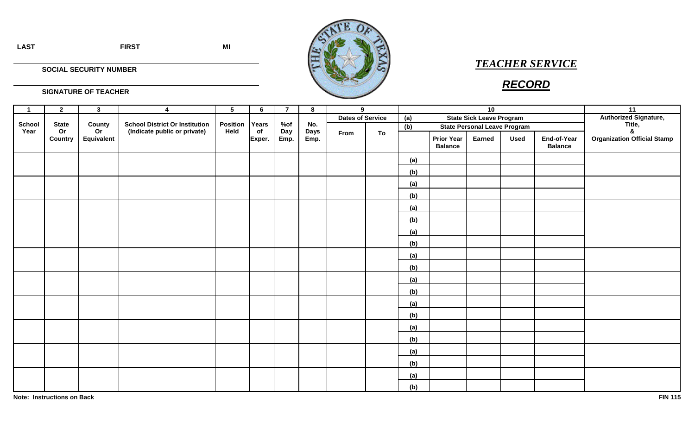**LAST FIRST MI**



## *TEACHER SERVICE*

## *RECORD*

**SIGNATURE OF TEACHER**

**SOCIAL SECURITY NUMBER**

| $\overline{1}$        | $\mathbf{2}$                  | $\mathbf{3}$               | $\overline{4}$                                                        | $5\phantom{.0}$  | $6\phantom{.}$        | $\overline{7}$     | 8                          | 9                       |    |                                            |                                        | 10            |             |                               | $\overline{11}$                    |
|-----------------------|-------------------------------|----------------------------|-----------------------------------------------------------------------|------------------|-----------------------|--------------------|----------------------------|-------------------------|----|--------------------------------------------|----------------------------------------|---------------|-------------|-------------------------------|------------------------------------|
|                       |                               |                            |                                                                       |                  |                       |                    |                            | <b>Dates of Service</b> |    |                                            |                                        |               |             | <b>Authorized Signature,</b>  |                                    |
| <b>School</b><br>Year | <b>State</b><br>Or<br>Country | County<br>Or<br>Equivalent | <b>School District Or Institution</b><br>(Indicate public or private) | Position<br>Held | Years<br>of<br>Exper. | %of<br>Day<br>Emp. | No.<br><b>Days</b><br>Emp. |                         |    |                                            | <b>State Sick Leave Program</b><br>(a) |               |             |                               | Title,<br>$\boldsymbol{\alpha}$    |
|                       |                               |                            |                                                                       |                  |                       |                    |                            | From                    | To | (b)<br><b>State Personal Leave Program</b> |                                        |               |             |                               |                                    |
|                       |                               |                            |                                                                       |                  |                       |                    |                            |                         |    |                                            | <b>Prior Year</b><br><b>Balance</b>    | <b>Earned</b> | <b>Used</b> | End-of-Year<br><b>Balance</b> | <b>Organization Official Stamp</b> |
|                       |                               |                            |                                                                       |                  |                       |                    |                            |                         |    | (a)                                        |                                        |               |             |                               |                                    |
|                       |                               |                            |                                                                       |                  |                       |                    |                            |                         |    | (b)                                        |                                        |               |             |                               |                                    |
|                       |                               |                            |                                                                       |                  |                       |                    |                            |                         |    | (a)                                        |                                        |               |             |                               |                                    |
|                       |                               |                            |                                                                       |                  |                       |                    |                            |                         |    | (b)                                        |                                        |               |             |                               |                                    |
|                       |                               |                            |                                                                       |                  |                       |                    |                            |                         |    | (a)                                        |                                        |               |             |                               |                                    |
|                       |                               |                            |                                                                       |                  |                       |                    |                            |                         |    | (b)                                        |                                        |               |             |                               |                                    |
|                       |                               |                            |                                                                       |                  |                       |                    |                            |                         |    | (a)                                        |                                        |               |             |                               |                                    |
|                       |                               |                            |                                                                       |                  |                       |                    |                            |                         |    | (b)                                        |                                        |               |             |                               |                                    |
|                       |                               |                            |                                                                       |                  |                       |                    |                            |                         |    | (a)                                        |                                        |               |             |                               |                                    |
|                       |                               |                            |                                                                       |                  |                       |                    |                            |                         |    | (b)                                        |                                        |               |             |                               |                                    |
|                       |                               |                            |                                                                       |                  |                       |                    |                            |                         |    | (a)                                        |                                        |               |             |                               |                                    |
|                       |                               |                            |                                                                       |                  |                       |                    |                            |                         |    | (b)                                        |                                        |               |             |                               |                                    |
|                       |                               |                            |                                                                       |                  |                       |                    |                            |                         |    | (a)                                        |                                        |               |             |                               |                                    |
|                       |                               |                            |                                                                       |                  |                       |                    |                            |                         |    | (b)                                        |                                        |               |             |                               |                                    |
|                       |                               |                            |                                                                       |                  |                       |                    |                            |                         |    | (a)                                        |                                        |               |             |                               |                                    |
|                       |                               |                            |                                                                       |                  |                       |                    |                            |                         |    | (b)                                        |                                        |               |             |                               |                                    |
|                       |                               |                            |                                                                       |                  |                       |                    |                            |                         |    | (a)                                        |                                        |               |             |                               |                                    |
|                       |                               |                            |                                                                       |                  |                       |                    |                            |                         |    | (b)                                        |                                        |               |             |                               |                                    |
|                       |                               |                            |                                                                       |                  |                       |                    |                            |                         |    | (a)                                        |                                        |               |             |                               |                                    |
|                       |                               |                            |                                                                       |                  |                       |                    |                            |                         |    | (b)                                        |                                        |               |             |                               |                                    |